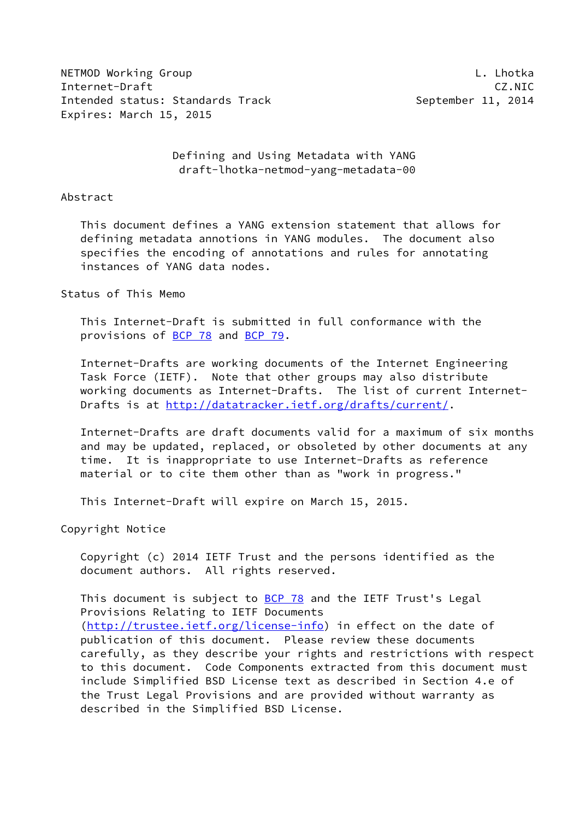NETMOD Working Group **Letter and Contact Contact Contact Contact Contact Contact Contact Contact Contact Contact** Internet-Draft CZ.NIC Intended status: Standards Track September 11, 2014 Expires: March 15, 2015

 Defining and Using Metadata with YANG draft-lhotka-netmod-yang-metadata-00

#### Abstract

 This document defines a YANG extension statement that allows for defining metadata annotions in YANG modules. The document also specifies the encoding of annotations and rules for annotating instances of YANG data nodes.

### Status of This Memo

 This Internet-Draft is submitted in full conformance with the provisions of [BCP 78](https://datatracker.ietf.org/doc/pdf/bcp78) and [BCP 79](https://datatracker.ietf.org/doc/pdf/bcp79).

 Internet-Drafts are working documents of the Internet Engineering Task Force (IETF). Note that other groups may also distribute working documents as Internet-Drafts. The list of current Internet Drafts is at<http://datatracker.ietf.org/drafts/current/>.

 Internet-Drafts are draft documents valid for a maximum of six months and may be updated, replaced, or obsoleted by other documents at any time. It is inappropriate to use Internet-Drafts as reference material or to cite them other than as "work in progress."

This Internet-Draft will expire on March 15, 2015.

Copyright Notice

 Copyright (c) 2014 IETF Trust and the persons identified as the document authors. All rights reserved.

This document is subject to **[BCP 78](https://datatracker.ietf.org/doc/pdf/bcp78)** and the IETF Trust's Legal Provisions Relating to IETF Documents [\(http://trustee.ietf.org/license-info](http://trustee.ietf.org/license-info)) in effect on the date of publication of this document. Please review these documents carefully, as they describe your rights and restrictions with respect to this document. Code Components extracted from this document must include Simplified BSD License text as described in Section 4.e of the Trust Legal Provisions and are provided without warranty as described in the Simplified BSD License.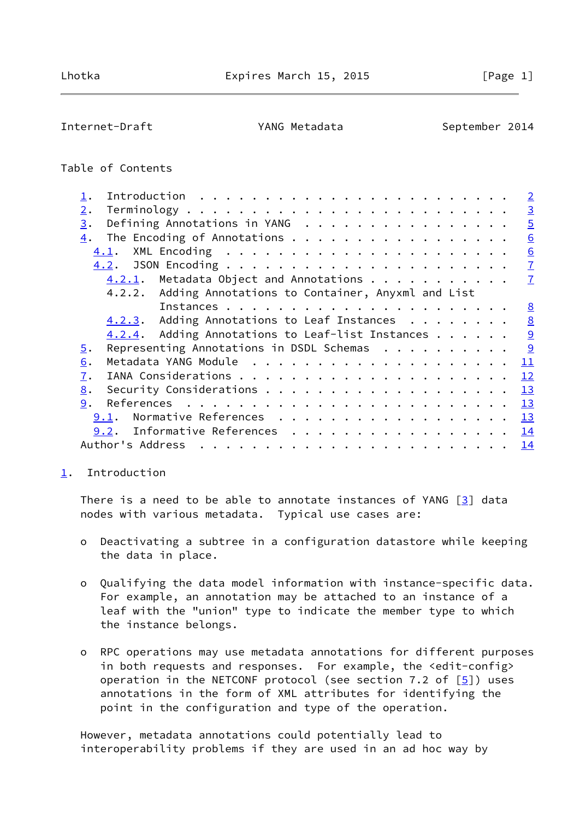<span id="page-1-1"></span>Internet-Draft YANG Metadata September 2014

## Table of Contents

|                                                                                  |                        |  |  |  |  |  |  |  | $\overline{2}$  |
|----------------------------------------------------------------------------------|------------------------|--|--|--|--|--|--|--|-----------------|
| $2$ .                                                                            |                        |  |  |  |  |  |  |  | $\overline{3}$  |
| Defining Annotations in YANG<br>3.                                               |                        |  |  |  |  |  |  |  | $\overline{5}$  |
| The Encoding of Annotations<br>4.                                                |                        |  |  |  |  |  |  |  | $\underline{6}$ |
| 4.1.                                                                             |                        |  |  |  |  |  |  |  | 6               |
| 4.2.                                                                             |                        |  |  |  |  |  |  |  | $\underline{7}$ |
| $4.2.1$ . Metadata Object and Annotations                                        |                        |  |  |  |  |  |  |  | $\mathbf{I}$    |
| 4.2.2. Adding Annotations to Container, Anyxml and List                          |                        |  |  |  |  |  |  |  |                 |
|                                                                                  |                        |  |  |  |  |  |  |  | 8               |
| 4.2.3. Adding Annotations to Leaf Instances                                      |                        |  |  |  |  |  |  |  | 8               |
| $4.2.4$ . Adding Annotations to Leaf-list Instances                              |                        |  |  |  |  |  |  |  | 9               |
| Representing Annotations in DSDL Schemas $\dots \dots \dots$<br>$\overline{5}$ . |                        |  |  |  |  |  |  |  | $\overline{9}$  |
| 6.                                                                               |                        |  |  |  |  |  |  |  | 11              |
| 7.                                                                               |                        |  |  |  |  |  |  |  | 12              |
| 8.                                                                               |                        |  |  |  |  |  |  |  | 13              |
| 9.                                                                               |                        |  |  |  |  |  |  |  | 13              |
| 9.1.                                                                             | Normative References   |  |  |  |  |  |  |  | 13              |
| 9.2.                                                                             | Informative References |  |  |  |  |  |  |  | 14              |
| Author's Address                                                                 |                        |  |  |  |  |  |  |  | 14              |
|                                                                                  |                        |  |  |  |  |  |  |  |                 |

## <span id="page-1-0"></span>[1](#page-1-0). Introduction

There is a need to be able to annotate instances of YANG  $[3]$  data nodes with various metadata. Typical use cases are:

- o Deactivating a subtree in a configuration datastore while keeping the data in place.
- o Qualifying the data model information with instance-specific data. For example, an annotation may be attached to an instance of a leaf with the "union" type to indicate the member type to which the instance belongs.
- o RPC operations may use metadata annotations for different purposes in both requests and responses. For example, the <edit-config> operation in the NETCONF protocol (see section 7.2 of  $[5]$ ) uses annotations in the form of XML attributes for identifying the point in the configuration and type of the operation.

 However, metadata annotations could potentially lead to interoperability problems if they are used in an ad hoc way by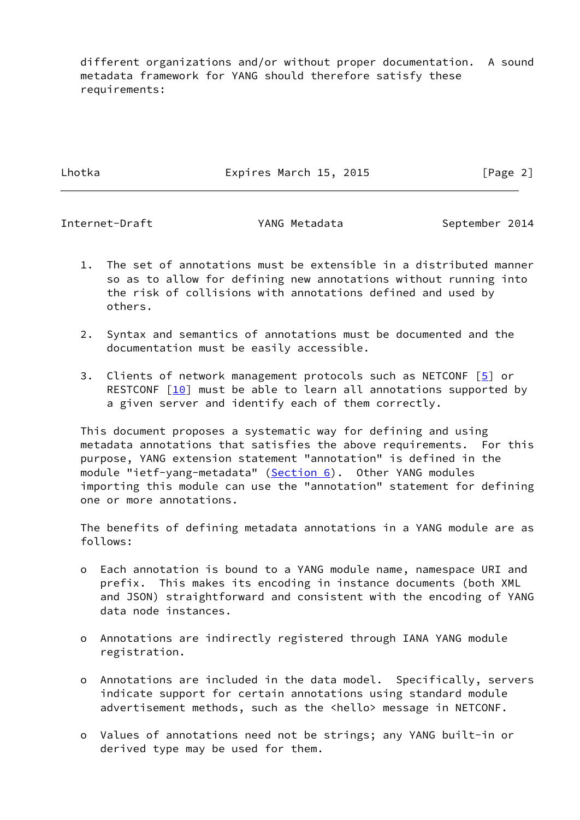different organizations and/or without proper documentation. A sound metadata framework for YANG should therefore satisfy these requirements:

Lhotka **Expires March 15, 2015** [Page 2]

<span id="page-2-0"></span>Internet-Draft The YANG Metadata September 2014

- 1. The set of annotations must be extensible in a distributed manner so as to allow for defining new annotations without running into the risk of collisions with annotations defined and used by others.
- 2. Syntax and semantics of annotations must be documented and the documentation must be easily accessible.
- 3. Clients of network management protocols such as NETCONF [\[5](#page-14-3)] or RESTCONF  $\lceil \frac{10}{10} \rceil$  must be able to learn all annotations supported by a given server and identify each of them correctly.

 This document proposes a systematic way for defining and using metadata annotations that satisfies the above requirements. For this purpose, YANG extension statement "annotation" is defined in the module "ietf-yang-metadata" [\(Section 6](#page-11-0)). Other YANG modules importing this module can use the "annotation" statement for defining one or more annotations.

 The benefits of defining metadata annotations in a YANG module are as follows:

- o Each annotation is bound to a YANG module name, namespace URI and prefix. This makes its encoding in instance documents (both XML and JSON) straightforward and consistent with the encoding of YANG data node instances.
- o Annotations are indirectly registered through IANA YANG module registration.
- o Annotations are included in the data model. Specifically, servers indicate support for certain annotations using standard module advertisement methods, such as the <hello> message in NETCONF.
- o Values of annotations need not be strings; any YANG built-in or derived type may be used for them.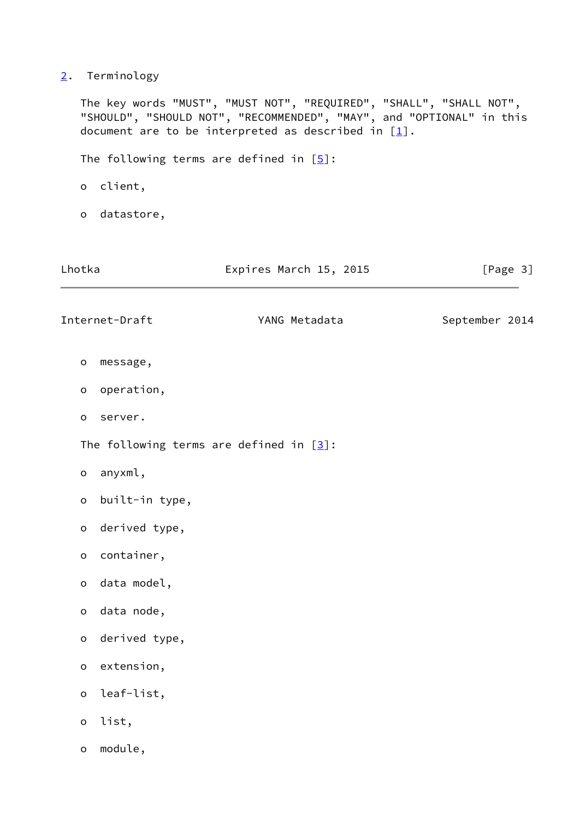# <span id="page-3-0"></span>[2](#page-3-0). Terminology

 The key words "MUST", "MUST NOT", "REQUIRED", "SHALL", "SHALL NOT", "SHOULD", "SHOULD NOT", "RECOMMENDED", "MAY", and "OPTIONAL" in this document are to be interpreted as described in  $[1]$  $[1]$ .

The following terms are defined in  $[5]$  $[5]$ :

- o client,
- o datastore,

| Lhotka              |                | Expires March 15, 2015                     | [Page 3]       |
|---------------------|----------------|--------------------------------------------|----------------|
|                     | Internet-Draft | YANG Metadata                              | September 2014 |
| $\mathbf O$         | message,       |                                            |                |
| $\mathsf{o}$        | operation,     |                                            |                |
| o                   | server.        |                                            |                |
|                     |                | The following terms are defined in $[3]$ : |                |
| $\mathsf{o}$        | anyxml,        |                                            |                |
| o                   | built-in type, |                                            |                |
| $\mathbf{o}$        | derived type,  |                                            |                |
| $\mathsf{o}$        | container,     |                                            |                |
| $\mathbf{o}$        | data model,    |                                            |                |
| $\mathsf{o}$        | data node,     |                                            |                |
| $\mathsf{o}\xspace$ | derived type,  |                                            |                |
| $\mathsf{o}$        | extension,     |                                            |                |
| $\mathsf{o}$        | leaf-list,     |                                            |                |
| $\mathsf{o}$        | list,          |                                            |                |
| $\mathsf{o}$        | module,        |                                            |                |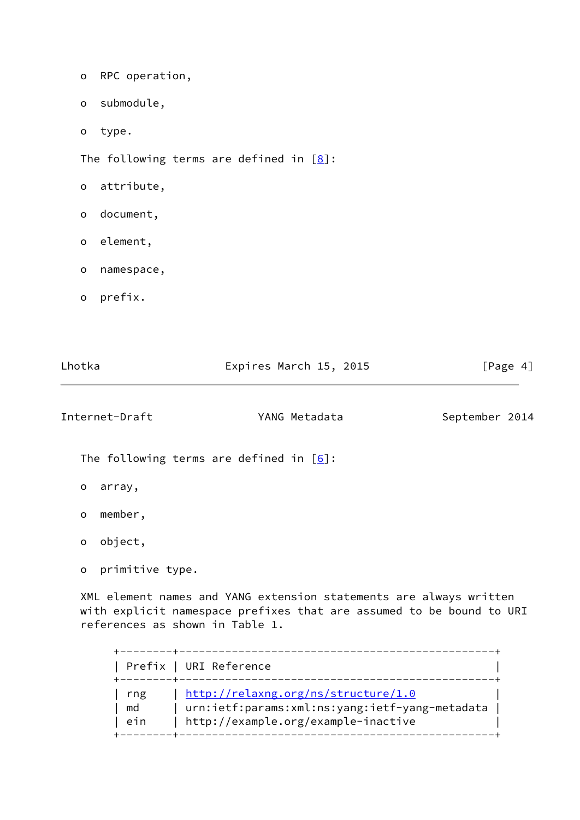|                     |                | The following terms are defined in $[6]$ : |                |
|---------------------|----------------|--------------------------------------------|----------------|
|                     | Internet-Draft | YANG Metadata                              | September 2014 |
| Lhotka              |                | Expires March 15, 2015                     | [Page 4]       |
|                     |                |                                            |                |
| $\mathsf{o}$        | prefix.        |                                            |                |
| $\mathsf{o}$        | namespace,     |                                            |                |
| $\mathsf{o}$        | element,       |                                            |                |
| $\mathsf{o}\xspace$ | document,      |                                            |                |
| $\mathsf O$         | attribute,     |                                            |                |
|                     |                | The following terms are defined in $[8]$ : |                |
| $\mathsf{o}$        | type.          |                                            |                |
| $\mathsf{o}$        | submodule,     |                                            |                |
| $\mathsf{o}$        | RPC operation, |                                            |                |

- <span id="page-4-0"></span>o array,
- o member,
- o object,
- o primitive type.

 XML element names and YANG extension statements are always written with explicit namespace prefixes that are assumed to be bound to URI references as shown in Table 1.

| Prefix   URI Reference |
|------------------------|
| rng<br>md<br>ein       |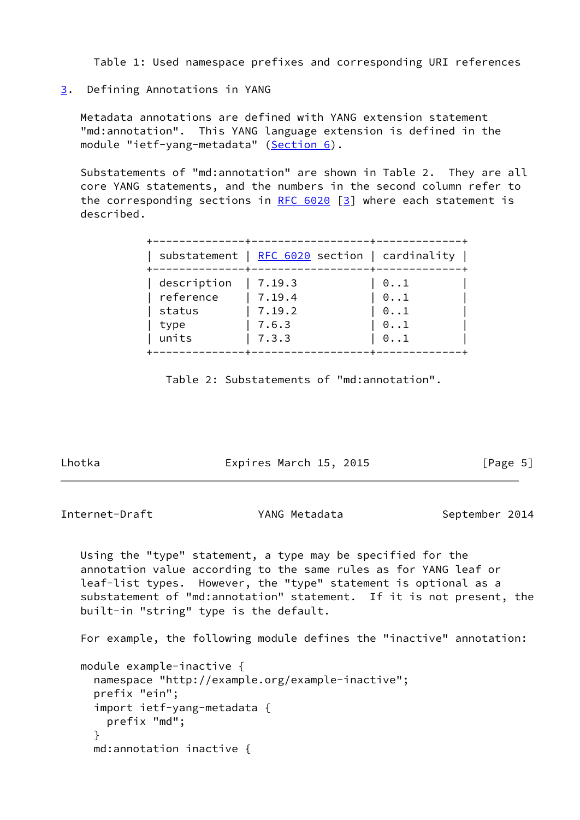Table 1: Used namespace prefixes and corresponding URI references

<span id="page-5-0"></span>[3](#page-5-0). Defining Annotations in YANG

 Metadata annotations are defined with YANG extension statement "md:annotation". This YANG language extension is defined in the module "ietf-yang-metadata" [\(Section 6](#page-11-0)).

 Substatements of "md:annotation" are shown in Table 2. They are all core YANG statements, and the numbers in the second column refer to the corresponding sections in RFC  $6020$  [\[3](#page-14-2)] where each statement is described.

| description<br>$0 \ldots 1$<br>7.19.3<br>reference<br>7.19.4<br>$\mathrel{\textcircled{\mathstrut\textcirc}}\ldots$<br>7.19.2<br>status<br>$0 \ldots 1$ | substatement   $RFC 6020$ section   cardinality |              |
|---------------------------------------------------------------------------------------------------------------------------------------------------------|-------------------------------------------------|--------------|
|                                                                                                                                                         |                                                 |              |
| 7.6.3                                                                                                                                                   |                                                 | $0 \ldots 1$ |

Table 2: Substatements of "md:annotation".

Lhotka **Expires March 15, 2015** [Page 5]

<span id="page-5-1"></span>Internet-Draft YANG Metadata September 2014

 Using the "type" statement, a type may be specified for the annotation value according to the same rules as for YANG leaf or leaf-list types. However, the "type" statement is optional as a substatement of "md:annotation" statement. If it is not present, the built-in "string" type is the default.

For example, the following module defines the "inactive" annotation:

```
 module example-inactive {
  namespace "http://example.org/example-inactive";
  prefix "ein";
  import ietf-yang-metadata {
    prefix "md";
  }
  md:annotation inactive {
```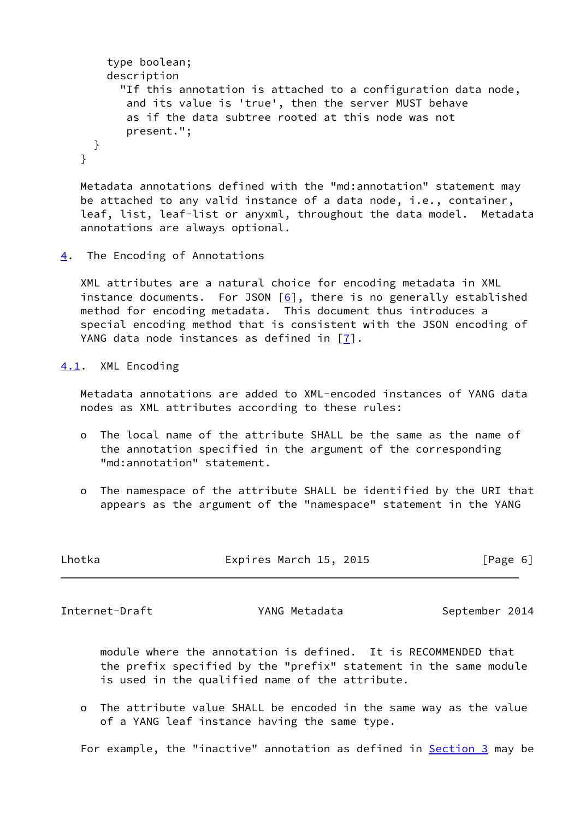```
 type boolean;
    description
      "If this annotation is attached to a configuration data node,
       and its value is 'true', then the server MUST behave
       as if the data subtree rooted at this node was not
       present.";
 }
}
```
 Metadata annotations defined with the "md:annotation" statement may be attached to any valid instance of a data node, i.e., container, leaf, list, leaf-list or anyxml, throughout the data model. Metadata annotations are always optional.

<span id="page-6-0"></span>[4](#page-6-0). The Encoding of Annotations

 XML attributes are a natural choice for encoding metadata in XML instance documents. For JSON  $[6]$  $[6]$ , there is no generally established method for encoding metadata. This document thus introduces a special encoding method that is consistent with the JSON encoding of YANG data node instances as defined in  $\lceil 7 \rceil$ .

<span id="page-6-1"></span>[4.1](#page-6-1). XML Encoding

 Metadata annotations are added to XML-encoded instances of YANG data nodes as XML attributes according to these rules:

- o The local name of the attribute SHALL be the same as the name of the annotation specified in the argument of the corresponding "md:annotation" statement.
- o The namespace of the attribute SHALL be identified by the URI that appears as the argument of the "namespace" statement in the YANG

| Lhotka | Expires March 15, 2015 | [Page 6] |
|--------|------------------------|----------|
|        |                        |          |

<span id="page-6-2"></span>Internet-Draft YANG Metadata September 2014

 module where the annotation is defined. It is RECOMMENDED that the prefix specified by the "prefix" statement in the same module is used in the qualified name of the attribute.

 o The attribute value SHALL be encoded in the same way as the value of a YANG leaf instance having the same type.

For example, the "inactive" annotation as defined in **Section 3** may be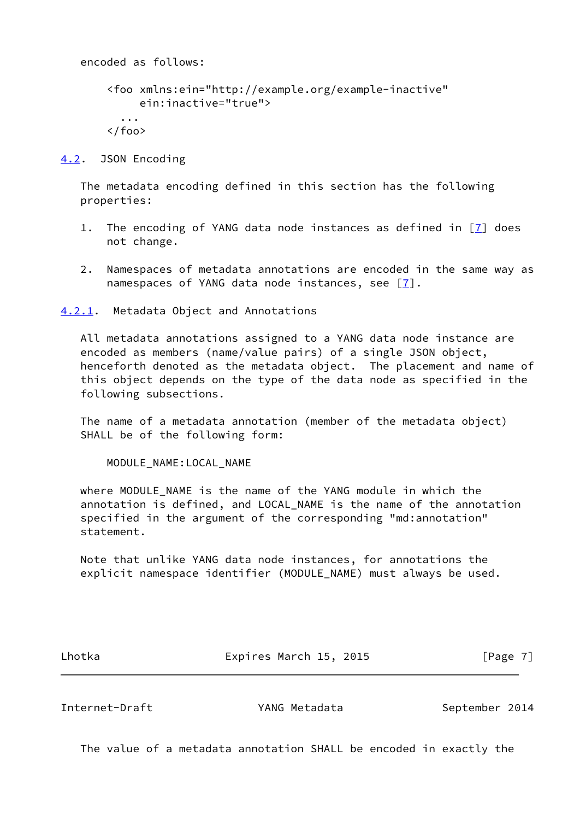encoded as follows: <foo xmlns:ein="http://example.org/example-inactive" ein:inactive="true"> ...  $\langle$  / foo $\rangle$ 

<span id="page-7-0"></span>[4.2](#page-7-0). JSON Encoding

 The metadata encoding defined in this section has the following properties:

- 1. The encoding of YANG data node instances as defined in [[7\]](#page-14-8) does not change.
- 2. Namespaces of metadata annotations are encoded in the same way as namespaces of YANG data node instances, see  $[7]$  $[7]$ .

<span id="page-7-1"></span>[4.2.1](#page-7-1). Metadata Object and Annotations

 All metadata annotations assigned to a YANG data node instance are encoded as members (name/value pairs) of a single JSON object, henceforth denoted as the metadata object. The placement and name of this object depends on the type of the data node as specified in the following subsections.

 The name of a metadata annotation (member of the metadata object) SHALL be of the following form:

MODULE\_NAME:LOCAL\_NAME

where MODULE NAME is the name of the YANG module in which the annotation is defined, and LOCAL\_NAME is the name of the annotation specified in the argument of the corresponding "md:annotation" statement.

 Note that unlike YANG data node instances, for annotations the explicit namespace identifier (MODULE\_NAME) must always be used.

Lhotka **Expires March 15, 2015** [Page 7]

<span id="page-7-2"></span>Internet-Draft The YANG Metadata September 2014

The value of a metadata annotation SHALL be encoded in exactly the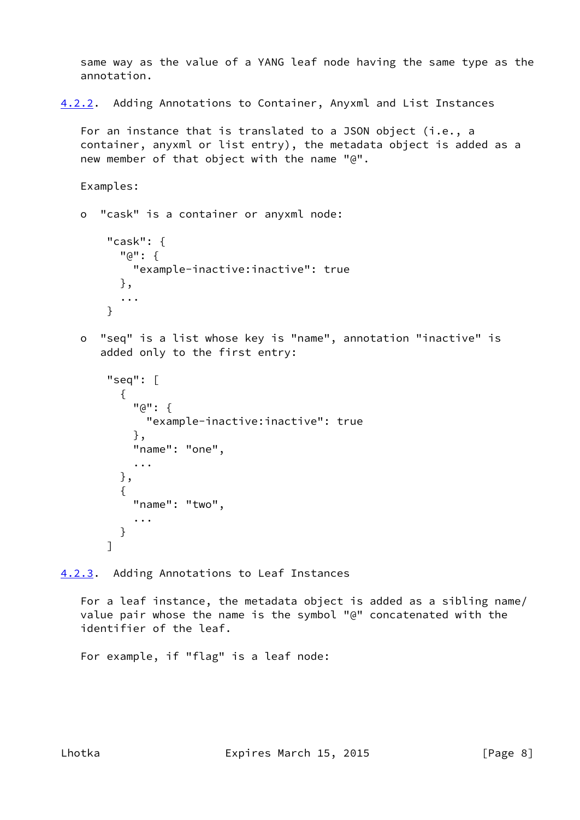same way as the value of a YANG leaf node having the same type as the annotation.

<span id="page-8-1"></span>[4.2.2](#page-8-1). Adding Annotations to Container, Anyxml and List Instances

 For an instance that is translated to a JSON object (i.e., a container, anyxml or list entry), the metadata object is added as a new member of that object with the name "@".

```
 Examples:
```

```
 o "cask" is a container or anyxml node:
```

```
 "cask": {
  "@": {
    "example-inactive:inactive": true
  },
  ...
}
```
 o "seq" is a list whose key is "name", annotation "inactive" is added only to the first entry:

```
 "seq": [
  {
    "@": {
       "example-inactive:inactive": true
     },
    "name": "one",
     ...
  },
  {
    "name": "two",
     ...
  }
]
```
<span id="page-8-0"></span>[4.2.3](#page-8-0). Adding Annotations to Leaf Instances

 For a leaf instance, the metadata object is added as a sibling name/ value pair whose the name is the symbol "@" concatenated with the identifier of the leaf.

For example, if "flag" is a leaf node: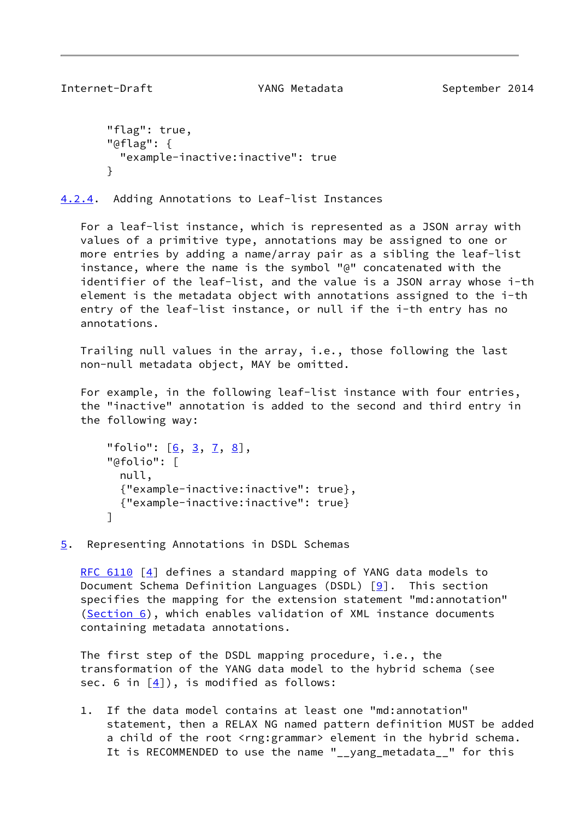```
 "flag": true,
"@flag": {
  "example-inactive:inactive": true
}
```
<span id="page-9-0"></span>[4.2.4](#page-9-0). Adding Annotations to Leaf-list Instances

 For a leaf-list instance, which is represented as a JSON array with values of a primitive type, annotations may be assigned to one or more entries by adding a name/array pair as a sibling the leaf-list instance, where the name is the symbol "@" concatenated with the identifier of the leaf-list, and the value is a JSON array whose i-th element is the metadata object with annotations assigned to the i-th entry of the leaf-list instance, or null if the i-th entry has no annotations.

 Trailing null values in the array, i.e., those following the last non-null metadata object, MAY be omitted.

 For example, in the following leaf-list instance with four entries, the "inactive" annotation is added to the second and third entry in the following way:

```
 37, 8</u>],
"@folio": [
 null,
  {"example-inactive:inactive": true},
 {"example-inactive:inactive": true}
]
```
<span id="page-9-2"></span>[5](#page-9-2). Representing Annotations in DSDL Schemas

[RFC 6110](https://datatracker.ietf.org/doc/pdf/rfc6110) [\[4\]](#page-14-9) defines a standard mapping of YANG data models to Document Schema Definition Languages (DSDL)  $[9]$  $[9]$ . This section specifies the mapping for the extension statement "md:annotation" [\(Section 6](#page-11-0)), which enables validation of XML instance documents containing metadata annotations.

 The first step of the DSDL mapping procedure, i.e., the transformation of the YANG data model to the hybrid schema (see sec. 6 in [[4\]](#page-14-9)), is modified as follows:

 1. If the data model contains at least one "md:annotation" statement, then a RELAX NG named pattern definition MUST be added a child of the root <rng:grammar> element in the hybrid schema. It is RECOMMENDED to use the name "\_\_yang\_metadata\_\_" for this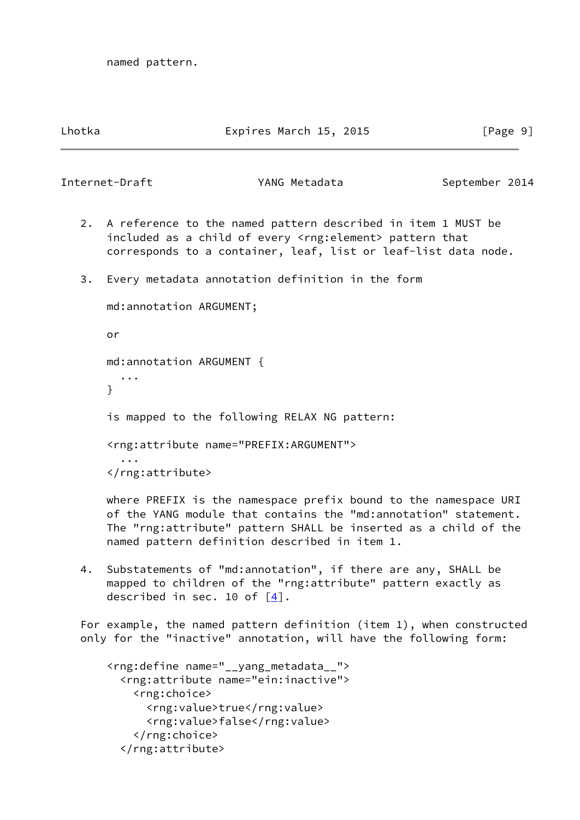named pattern.

#### Lhotka Expires March 15, 2015 [Page 9]

Internet-Draft The YANG Metadata September 2014

- 2. A reference to the named pattern described in item 1 MUST be included as a child of every <rng:element> pattern that corresponds to a container, leaf, list or leaf-list data node.
- 3. Every metadata annotation definition in the form

 md:annotation ARGUMENT; or md:annotation ARGUMENT { ... } is mapped to the following RELAX NG pattern: <rng:attribute name="PREFIX:ARGUMENT"> ... </rng:attribute>

 where PREFIX is the namespace prefix bound to the namespace URI of the YANG module that contains the "md:annotation" statement. The "rng:attribute" pattern SHALL be inserted as a child of the named pattern definition described in item 1.

 4. Substatements of "md:annotation", if there are any, SHALL be mapped to children of the "rng:attribute" pattern exactly as described in sec. 10 of  $[4]$  $[4]$ .

 For example, the named pattern definition (item 1), when constructed only for the "inactive" annotation, will have the following form:

```
 <rng:define name="__yang_metadata__">
  <rng:attribute name="ein:inactive">
    <rng:choice>
      <rng:value>true</rng:value>
      <rng:value>false</rng:value>
    </rng:choice>
  </rng:attribute>
```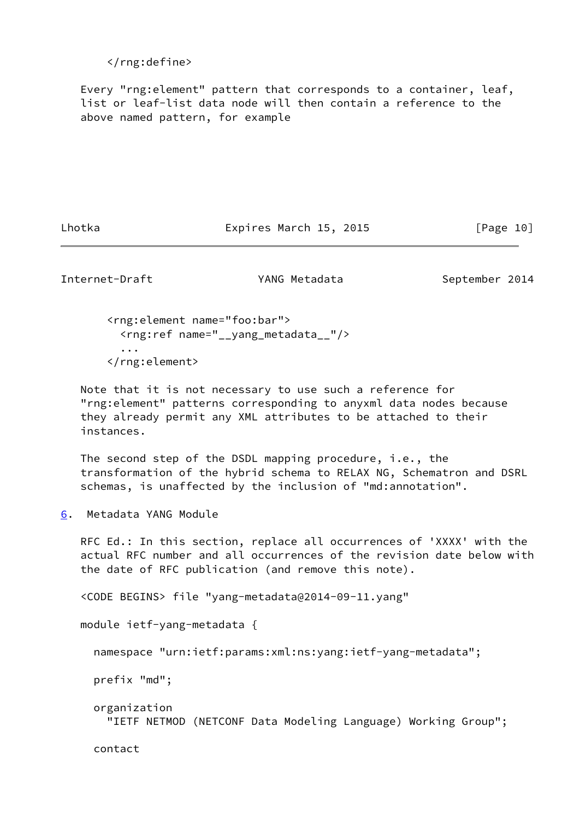</rng:define>

 Every "rng:element" pattern that corresponds to a container, leaf, list or leaf-list data node will then contain a reference to the above named pattern, for example

Lhotka **Expires March 15, 2015** [Page 10]

<span id="page-11-1"></span>Internet-Draft YANG Metadata September 2014

 <rng:element name="foo:bar"> <rng:ref name="\_\_yang\_metadata\_\_"/> ... </rng:element>

 Note that it is not necessary to use such a reference for "rng:element" patterns corresponding to anyxml data nodes because they already permit any XML attributes to be attached to their instances.

 The second step of the DSDL mapping procedure, i.e., the transformation of the hybrid schema to RELAX NG, Schematron and DSRL schemas, is unaffected by the inclusion of "md:annotation".

<span id="page-11-0"></span>[6](#page-11-0). Metadata YANG Module

 RFC Ed.: In this section, replace all occurrences of 'XXXX' with the actual RFC number and all occurrences of the revision date below with the date of RFC publication (and remove this note).

<CODE BEGINS> file "yang-metadata@2014-09-11.yang"

module ietf-yang-metadata {

namespace "urn:ietf:params:xml:ns:yang:ietf-yang-metadata";

prefix "md";

 organization "IETF NETMOD (NETCONF Data Modeling Language) Working Group";

contact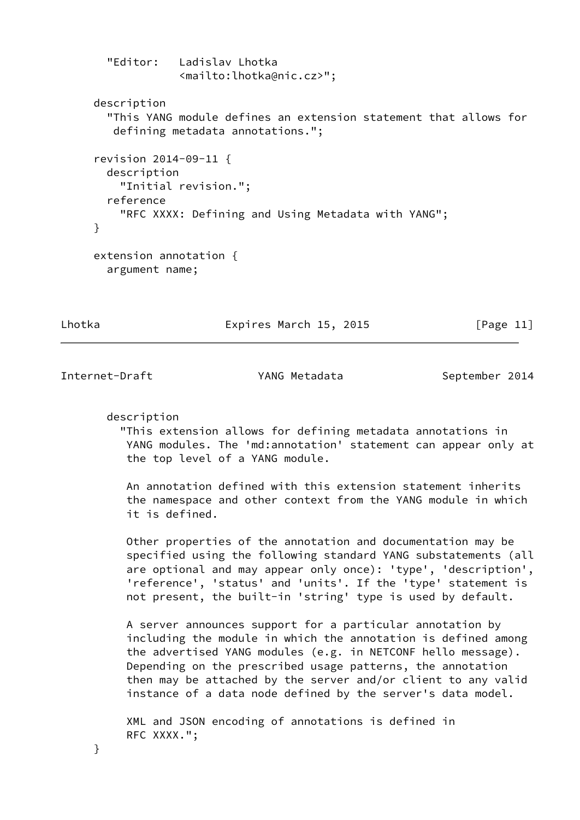"Editor: Ladislav Lhotka <mailto:lhotka@nic.cz>"; description "This YANG module defines an extension statement that allows for defining metadata annotations."; revision 2014-09-11 { description "Initial revision."; reference "RFC XXXX: Defining and Using Metadata with YANG"; } extension annotation { argument name;

Lhotka Expires March 15, 2015 [Page 11]

<span id="page-12-0"></span>Internet-Draft TANG Metadata September 2014

description

 "This extension allows for defining metadata annotations in YANG modules. The 'md:annotation' statement can appear only at the top level of a YANG module.

 An annotation defined with this extension statement inherits the namespace and other context from the YANG module in which it is defined.

 Other properties of the annotation and documentation may be specified using the following standard YANG substatements (all are optional and may appear only once): 'type', 'description', 'reference', 'status' and 'units'. If the 'type' statement is not present, the built-in 'string' type is used by default.

 A server announces support for a particular annotation by including the module in which the annotation is defined among the advertised YANG modules (e.g. in NETCONF hello message). Depending on the prescribed usage patterns, the annotation then may be attached by the server and/or client to any valid instance of a data node defined by the server's data model.

 XML and JSON encoding of annotations is defined in RFC XXXX.";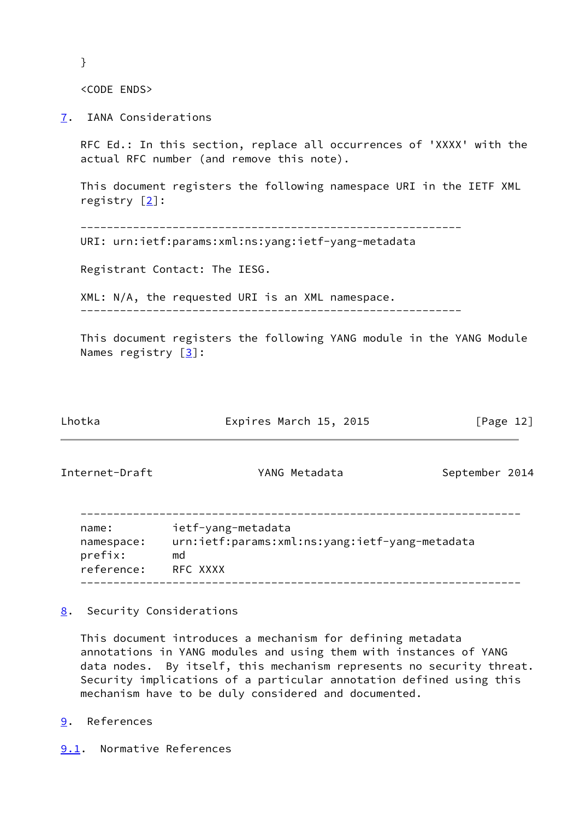}

<CODE ENDS>

<span id="page-13-0"></span>[7](#page-13-0). IANA Considerations

 RFC Ed.: In this section, replace all occurrences of 'XXXX' with the actual RFC number (and remove this note).

 This document registers the following namespace URI in the IETF XML registry [\[2\]](#page-14-11):

----------------------------------------------------------

URI: urn:ietf:params:xml:ns:yang:ietf-yang-metadata

Registrant Contact: The IESG.

 XML: N/A, the requested URI is an XML namespace. ----------------------------------------------------------

 This document registers the following YANG module in the YANG Module Names registry [\[3](#page-14-2)]:

<span id="page-13-2"></span>

| Lhotka                                       | Expires March 15, 2015                                                                 | [Page 12]      |
|----------------------------------------------|----------------------------------------------------------------------------------------|----------------|
| Internet-Draft                               | YANG Metadata                                                                          | September 2014 |
| name:<br>namespace:<br>prefix:<br>reference: | ietf-yang-metadata<br>urn:ietf:params:xml:ns:yang:ietf-yang-metadata<br>md<br>RFC XXXX |                |

<span id="page-13-1"></span>[8](#page-13-1). Security Considerations

 This document introduces a mechanism for defining metadata annotations in YANG modules and using them with instances of YANG data nodes. By itself, this mechanism represents no security threat. Security implications of a particular annotation defined using this mechanism have to be duly considered and documented.

- <span id="page-13-3"></span>[9](#page-13-3). References
- <span id="page-13-4"></span>[9.1](#page-13-4). Normative References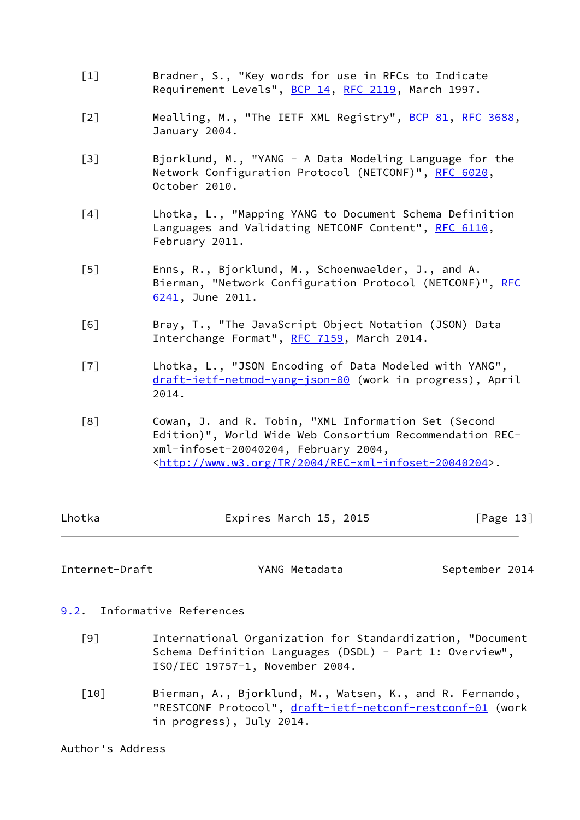- <span id="page-14-5"></span> [1] Bradner, S., "Key words for use in RFCs to Indicate Requirement Levels", [BCP 14](https://datatracker.ietf.org/doc/pdf/bcp14), [RFC 2119](https://datatracker.ietf.org/doc/pdf/rfc2119), March 1997.
- <span id="page-14-11"></span>[2] Mealling, M., "The IETF XML Registry", [BCP 81](https://datatracker.ietf.org/doc/pdf/bcp81), [RFC 3688](https://datatracker.ietf.org/doc/pdf/rfc3688), January 2004.
- <span id="page-14-2"></span> [3] Bjorklund, M., "YANG - A Data Modeling Language for the Network Configuration Protocol (NETCONF)", [RFC 6020](https://datatracker.ietf.org/doc/pdf/rfc6020), October 2010.
- <span id="page-14-9"></span> [4] Lhotka, L., "Mapping YANG to Document Schema Definition Languages and Validating NETCONF Content", [RFC 6110](https://datatracker.ietf.org/doc/pdf/rfc6110), February 2011.
- <span id="page-14-3"></span> [5] Enns, R., Bjorklund, M., Schoenwaelder, J., and A. Bierman, "Network Configuration Protocol (NETCONF)", [RFC](https://datatracker.ietf.org/doc/pdf/rfc6241) [6241,](https://datatracker.ietf.org/doc/pdf/rfc6241) June 2011.
- <span id="page-14-7"></span> [6] Bray, T., "The JavaScript Object Notation (JSON) Data Interchange Format", [RFC 7159](https://datatracker.ietf.org/doc/pdf/rfc7159), March 2014.
- <span id="page-14-8"></span> [7] Lhotka, L., "JSON Encoding of Data Modeled with YANG", [draft-ietf-netmod-yang-json-00](https://datatracker.ietf.org/doc/pdf/draft-ietf-netmod-yang-json-00) (work in progress), April 2014.
- <span id="page-14-6"></span> [8] Cowan, J. and R. Tobin, "XML Information Set (Second Edition)", World Wide Web Consortium Recommendation REC xml-infoset-20040204, February 2004, <[http://www.w3.org/TR/2004/REC-xml-infoset-20040204>](http://www.w3.org/TR/2004/REC-xml-infoset-20040204).

| Lhotka | Expires March 15, 2015 | [Page 13] |
|--------|------------------------|-----------|
|        |                        |           |

<span id="page-14-1"></span>Internet-Draft YANG Metadata September 2014

- <span id="page-14-10"></span><span id="page-14-0"></span>[9.2](#page-14-0). Informative References
	- [9] International Organization for Standardization, "Document Schema Definition Languages (DSDL) - Part 1: Overview", ISO/IEC 19757-1, November 2004.
	- [10] Bierman, A., Bjorklund, M., Watsen, K., and R. Fernando, "RESTCONF Protocol", [draft-ietf-netconf-restconf-01](https://datatracker.ietf.org/doc/pdf/draft-ietf-netconf-restconf-01) (work in progress), July 2014.

<span id="page-14-4"></span>Author's Address